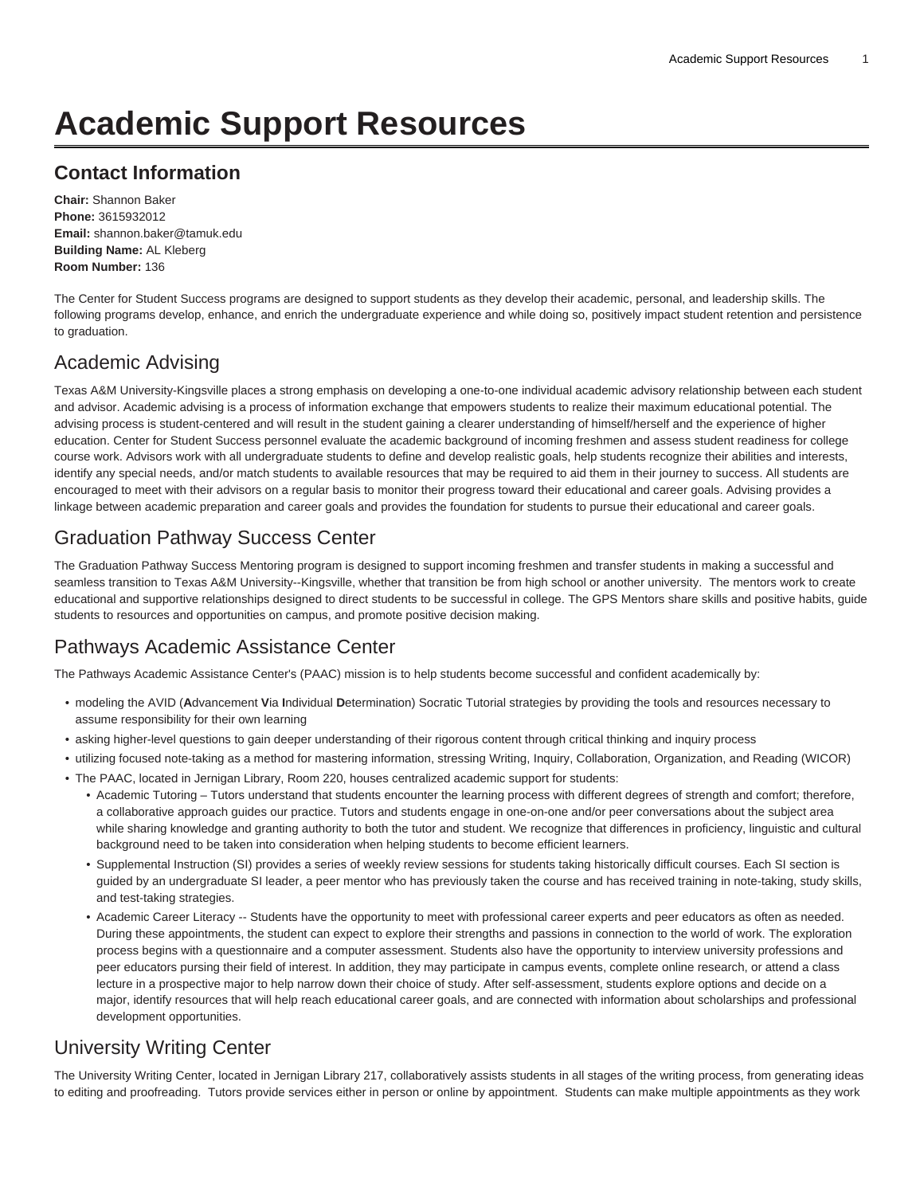# **Academic Support Resources**

#### **Contact Information**

**Chair:** Shannon Baker **Phone:** 3615932012 **Email:** [shannon.baker@tamuk.edu](mailto:shannon.baker@tamuk.edu) **Building Name:** AL Kleberg **Room Number:** 136

The Center for Student Success programs are designed to support students as they develop their academic, personal, and leadership skills. The following programs develop, enhance, and enrich the undergraduate experience and while doing so, positively impact student retention and persistence to graduation.

## [Academic Advising](https://www.tamuk.edu/studentsuccess/advising.html)

Texas A&M University-Kingsville places a strong emphasis on developing a one-to-one individual academic advisory relationship between each student and advisor. Academic advising is a process of information exchange that empowers students to realize their maximum educational potential. The advising process is student-centered and will result in the student gaining a clearer understanding of himself/herself and the experience of higher education. Center for Student Success personnel evaluate the academic background of incoming freshmen and assess student readiness for college course work. Advisors work with all undergraduate students to define and develop realistic goals, help students recognize their abilities and interests, identify any special needs, and/or match students to available resources that may be required to aid them in their journey to success. All students are encouraged to meet with their advisors on a regular basis to monitor their progress toward their educational and career goals. Advising provides a linkage between academic preparation and career goals and provides the foundation for students to pursue their educational and career goals.

## [Graduation Pathway Success Center](https://www.tamuk.edu/studentsuccess/mentors.html)

The Graduation Pathway Success Mentoring program is designed to support incoming freshmen and transfer students in making a successful and seamless transition to Texas A&M University--Kingsville, whether that transition be from high school or another university. The mentors work to create educational and supportive relationships designed to direct students to be successful in college. The GPS Mentors share skills and positive habits, guide students to resources and opportunities on campus, and promote positive decision making.

#### [Pathways Academic Assistance Center](http://www.tamuk.edu/studentsuccess/PAAC/)

The Pathways Academic Assistance Center's (PAAC) mission is to help students become successful and confident academically by:

- modeling the AVID (**A**dvancement **V**ia **I**ndividual **D**etermination) Socratic Tutorial strategies by providing the tools and resources necessary to assume responsibility for their own learning
- asking higher-level questions to gain deeper understanding of their rigorous content through critical thinking and inquiry process
- utilizing focused note-taking as a method for mastering information, stressing Writing, Inquiry, Collaboration, Organization, and Reading (WICOR)
- The PAAC, located in Jernigan Library, Room 220, houses centralized academic support for students: • Academic Tutoring – Tutors understand that students encounter the learning process with different degrees of strength and comfort; therefore, a collaborative approach guides our practice. Tutors and students engage in one-on-one and/or peer conversations about the subject area while sharing knowledge and granting authority to both the tutor and student. We recognize that differences in proficiency, linguistic and cultural background need to be taken into consideration when helping students to become efficient learners.
	- Supplemental Instruction (SI) provides a series of weekly review sessions for students taking historically difficult courses. Each SI section is guided by an undergraduate SI leader, a peer mentor who has previously taken the course and has received training in note-taking, study skills, and test-taking strategies.
	- Academic Career Literacy -- Students have the opportunity to meet with professional career experts and peer educators as often as needed. During these appointments, the student can expect to explore their strengths and passions in connection to the world of work. The exploration process begins with a questionnaire and a computer assessment. Students also have the opportunity to interview university professions and peer educators pursing their field of interest. In addition, they may participate in campus events, complete online research, or attend a class lecture in a prospective major to help narrow down their choice of study. After self-assessment, students explore options and decide on a major, identify resources that will help reach educational career goals, and are connected with information about scholarships and professional development opportunities.

# [University Writing Center](http://www.tamuk.edu/writingcenter/)

The University Writing Center, located in Jernigan Library 217, collaboratively assists students in all stages of the writing process, from generating ideas to editing and proofreading. Tutors provide services either in person or online by appointment. Students can make multiple appointments as they work